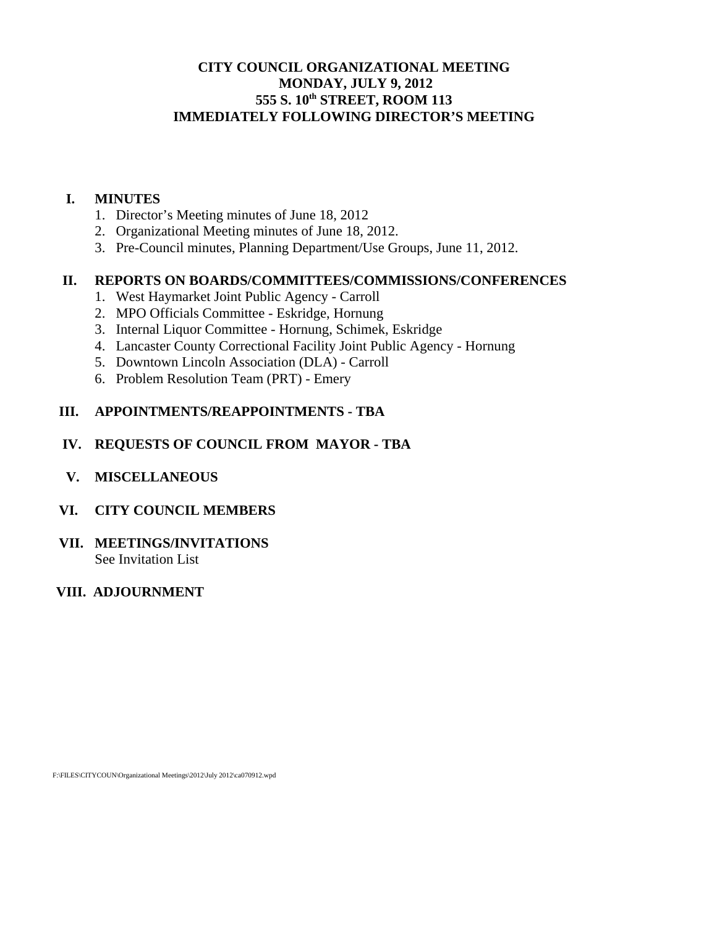# **CITY COUNCIL ORGANIZATIONAL MEETING MONDAY, JULY 9, 2012 555 S. 10th STREET, ROOM 113 IMMEDIATELY FOLLOWING DIRECTOR'S MEETING**

#### **I. MINUTES**

- 1. Director's Meeting minutes of June 18, 2012
- 2. Organizational Meeting minutes of June 18, 2012.
- 3. Pre-Council minutes, Planning Department/Use Groups, June 11, 2012.

#### **II. REPORTS ON BOARDS/COMMITTEES/COMMISSIONS/CONFERENCES**

- 1. West Haymarket Joint Public Agency Carroll
- 2. MPO Officials Committee Eskridge, Hornung
- 3. Internal Liquor Committee Hornung, Schimek, Eskridge
- 4. Lancaster County Correctional Facility Joint Public Agency Hornung
- 5. Downtown Lincoln Association (DLA) Carroll
- 6. Problem Resolution Team (PRT) Emery

#### **III. APPOINTMENTS/REAPPOINTMENTS - TBA**

#### **IV. REQUESTS OF COUNCIL FROM MAYOR - TBA**

 **V. MISCELLANEOUS** 

#### **VI. CITY COUNCIL MEMBERS**

**VII. MEETINGS/INVITATIONS**  See Invitation List

## **VIII. ADJOURNMENT**

F:\FILES\CITYCOUN\Organizational Meetings\2012\July 2012\ca070912.wpd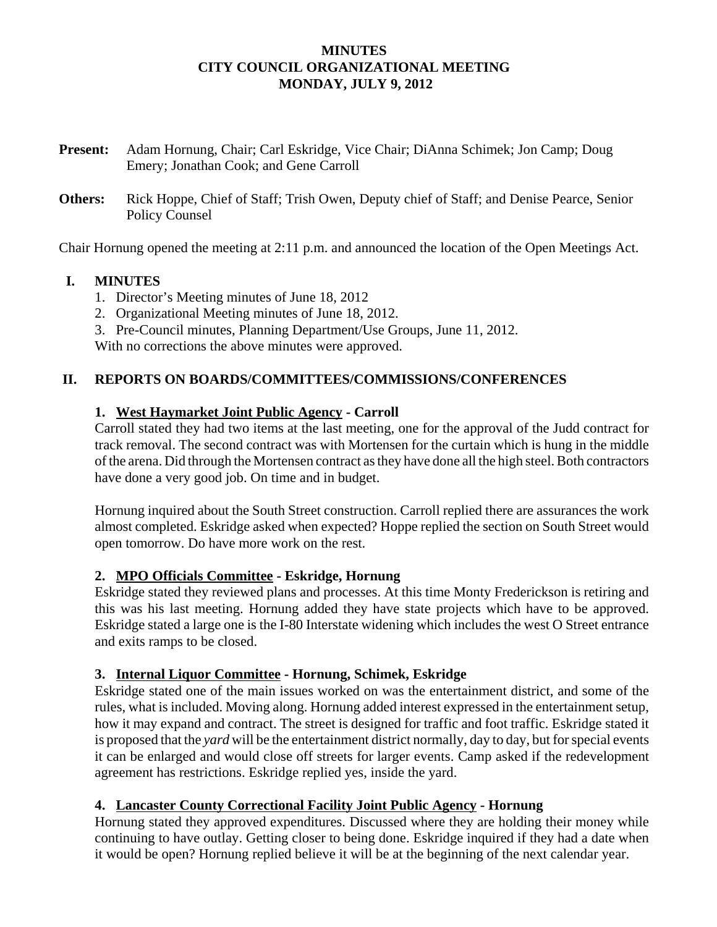#### **MINUTES CITY COUNCIL ORGANIZATIONAL MEETING MONDAY, JULY 9, 2012**

- **Present:** Adam Hornung, Chair; Carl Eskridge, Vice Chair; DiAnna Schimek; Jon Camp; Doug Emery; Jonathan Cook; and Gene Carroll
- **Others:** Rick Hoppe, Chief of Staff; Trish Owen, Deputy chief of Staff; and Denise Pearce, Senior Policy Counsel

Chair Hornung opened the meeting at 2:11 p.m. and announced the location of the Open Meetings Act.

#### **I. MINUTES**

- 1. Director's Meeting minutes of June 18, 2012
- 2. Organizational Meeting minutes of June 18, 2012.
- 3. Pre-Council minutes, Planning Department/Use Groups, June 11, 2012.

With no corrections the above minutes were approved.

#### **II. REPORTS ON BOARDS/COMMITTEES/COMMISSIONS/CONFERENCES**

#### **1. West Haymarket Joint Public Agency - Carroll**

Carroll stated they had two items at the last meeting, one for the approval of the Judd contract for track removal. The second contract was with Mortensen for the curtain which is hung in the middle of the arena. Did through the Mortensen contract as they have done all the high steel. Both contractors have done a very good job. On time and in budget.

Hornung inquired about the South Street construction. Carroll replied there are assurances the work almost completed. Eskridge asked when expected? Hoppe replied the section on South Street would open tomorrow. Do have more work on the rest.

#### **2. MPO Officials Committee - Eskridge, Hornung**

Eskridge stated they reviewed plans and processes. At this time Monty Frederickson is retiring and this was his last meeting. Hornung added they have state projects which have to be approved. Eskridge stated a large one is the I-80 Interstate widening which includes the west O Street entrance and exits ramps to be closed.

#### **3. Internal Liquor Committee - Hornung, Schimek, Eskridge**

Eskridge stated one of the main issues worked on was the entertainment district, and some of the rules, what is included. Moving along. Hornung added interest expressed in the entertainment setup, how it may expand and contract. The street is designed for traffic and foot traffic. Eskridge stated it is proposed that the *yard* will be the entertainment district normally, day to day, but for special events it can be enlarged and would close off streets for larger events. Camp asked if the redevelopment agreement has restrictions. Eskridge replied yes, inside the yard.

#### **4. Lancaster County Correctional Facility Joint Public Agency - Hornung**

Hornung stated they approved expenditures. Discussed where they are holding their money while continuing to have outlay. Getting closer to being done. Eskridge inquired if they had a date when it would be open? Hornung replied believe it will be at the beginning of the next calendar year.